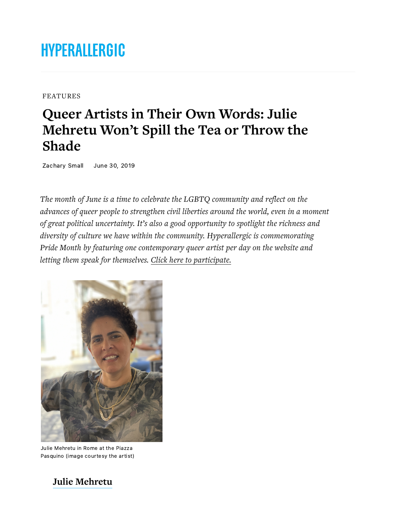# **HYPERALLERGIC**

[FEATURES](https://hyperallergic.com/features/)

# **Queer Artists in Their Own Words: Julie** Mehretu Won't Spill the Tea or Throw the **Shade**

Zachary Small June 30, 2019

The month of June is a time to celebrate the LGBTQ community and reflect on the advances of queer people to strengthen civil liberties around the world, even in a moment of great political uncertainty. It's also a good opportunity to spotlight the richness and *diversity of culture we have within the community. Hyperallergic is commemorating* Pride Month by featuring one contemporary queer artist per day on the website and *letting them speak for themselves. Click here to participate.* 



Julie Mehretu in Rome at the Piazza Pasquino (image courtesy the artist)

**[Julie Mehretu](https://www.mariangoodman.com/artists/julie-mehretu)**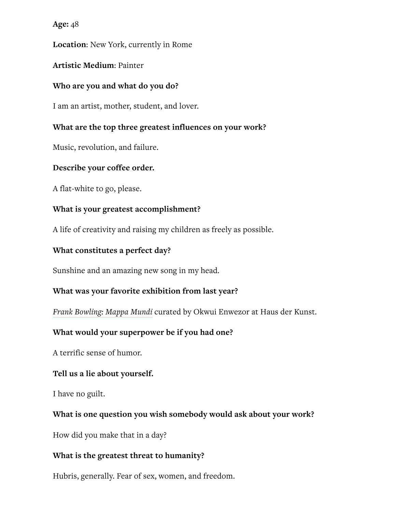**Age:** 48

Location: New York, currently in Rome

#### **Artistic Medium: Painter**

#### **Who are you and what do you do?**

I am an artist, mother, student, and lover.

#### **What are the top three greatest influences on your work?**

Music, revolution, and failure.

#### **Describe your coffee order.**

A flat-white to go, please.

#### **What is your greatest accomplishment?**

A life of creativity and raising my children as freely as possible.

#### **What constitutes a perfect day?**

Sunshine and an amazing new song in my head.

#### **What was your favorite exhibition from last year?**

*Frank Bowling: Mappa Mundi* curated by Okwui Enwezor at Haus der Kunst.

# **What would your superpower be if you had one?**

A terrific sense of humor.

#### **Tell us a lie about yourself.**

I have no guilt.

# **What is one question you wish somebody would ask about your work?**

How did you make that in a day?

# **What is the greatest threat to humanity?**

Hubris, generally. Fear of sex, women, and freedom.